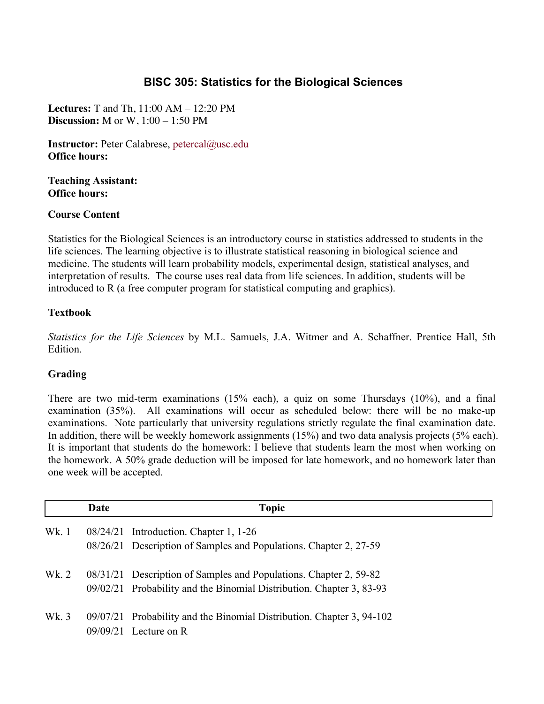# **BISC 305: Statistics for the Biological Sciences**

**Lectures:** T and Th, 11:00 AM – 12:20 PM **Discussion:** M or W, 1:00 – 1:50 PM

**Instructor:** Peter Calabrese, petercal@usc.edu **Office hours:**

**Teaching Assistant: Office hours:**

### **Course Content**

Statistics for the Biological Sciences is an introductory course in statistics addressed to students in the life sciences. The learning objective is to illustrate statistical reasoning in biological science and medicine. The students will learn probability models, experimental design, statistical analyses, and interpretation of results. The course uses real data from life sciences. In addition, students will be introduced to R (a free computer program for statistical computing and graphics).

### **Textbook**

*Statistics for the Life Sciences* by M.L. Samuels, J.A. Witmer and A. Schaffner. Prentice Hall, 5th Edition.

### **Grading**

There are two mid-term examinations (15% each), a quiz on some Thursdays (10%), and a final examination (35%). All examinations will occur as scheduled below: there will be no make-up examinations. Note particularly that university regulations strictly regulate the final examination date. In addition, there will be weekly homework assignments (15%) and two data analysis projects (5% each). It is important that students do the homework: I believe that students learn the most when working on the homework. A 50% grade deduction will be imposed for late homework, and no homework later than one week will be accepted.

|       | Date | <b>Topic</b>                                                          |
|-------|------|-----------------------------------------------------------------------|
| Wk. 1 |      | 08/24/21 Introduction. Chapter 1, 1-26                                |
|       |      | 08/26/21 Description of Samples and Populations. Chapter 2, 27-59     |
| Wk. 2 |      | 08/31/21 Description of Samples and Populations. Chapter 2, 59-82     |
|       |      | 09/02/21 Probability and the Binomial Distribution. Chapter 3, 83-93  |
| Wk. 3 |      | 09/07/21 Probability and the Binomial Distribution. Chapter 3, 94-102 |
|       |      | $09/09/21$ Lecture on R                                               |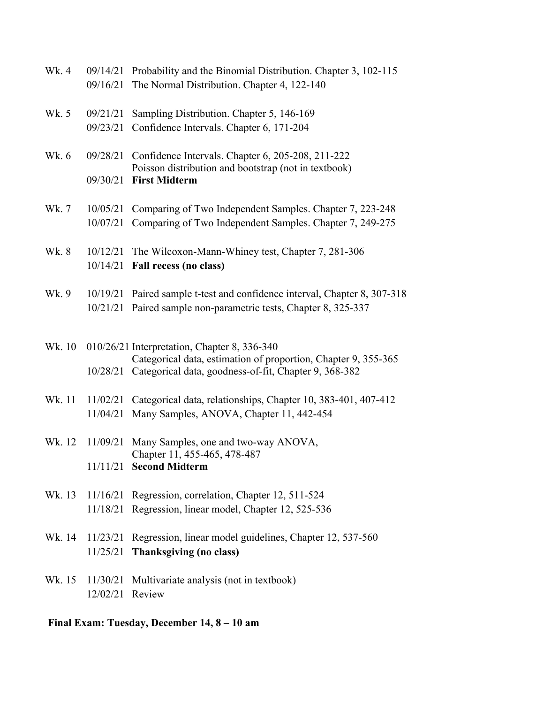| Wk. 4  |                 | 09/14/21 Probability and the Binomial Distribution. Chapter 3, 102-115                                                  |
|--------|-----------------|-------------------------------------------------------------------------------------------------------------------------|
|        | 09/16/21        | The Normal Distribution. Chapter 4, 122-140                                                                             |
| Wk. 5  | 09/21/21        |                                                                                                                         |
|        |                 | Sampling Distribution. Chapter 5, 146-169                                                                               |
|        | 09/23/21        | Confidence Intervals. Chapter 6, 171-204                                                                                |
| Wk. 6  | 09/28/21        | Confidence Intervals. Chapter 6, 205-208, 211-222                                                                       |
|        |                 | Poisson distribution and bootstrap (not in textbook)                                                                    |
|        | 09/30/21        | <b>First Midterm</b>                                                                                                    |
|        |                 |                                                                                                                         |
| Wk. 7  | 10/05/21        | Comparing of Two Independent Samples. Chapter 7, 223-248                                                                |
|        | 10/07/21        | Comparing of Two Independent Samples. Chapter 7, 249-275                                                                |
| Wk. 8  | 10/12/21        | The Wilcoxon-Mann-Whiney test, Chapter 7, 281-306                                                                       |
|        | 10/14/21        | Fall recess (no class)                                                                                                  |
|        |                 |                                                                                                                         |
| Wk. 9  |                 | 10/19/21 Paired sample t-test and confidence interval, Chapter 8, 307-318                                               |
|        |                 | 10/21/21 Paired sample non-parametric tests, Chapter 8, 325-337                                                         |
|        |                 |                                                                                                                         |
|        |                 |                                                                                                                         |
| Wk. 10 |                 | 010/26/21 Interpretation, Chapter 8, 336-340                                                                            |
|        | 10/28/21        | Categorical data, estimation of proportion, Chapter 9, 355-365<br>Categorical data, goodness-of-fit, Chapter 9, 368-382 |
|        |                 |                                                                                                                         |
| Wk. 11 | 11/02/21        | Categorical data, relationships, Chapter 10, 383-401, 407-412                                                           |
|        | 11/04/21        | Many Samples, ANOVA, Chapter 11, 442-454                                                                                |
|        |                 |                                                                                                                         |
| Wk. 12 | 11/09/21        | Many Samples, one and two-way ANOVA,                                                                                    |
|        |                 | Chapter 11, 455-465, 478-487                                                                                            |
|        |                 | 11/11/21 Second Midterm                                                                                                 |
| Wk. 13 |                 | 11/16/21 Regression, correlation, Chapter 12, 511-524                                                                   |
|        |                 | 11/18/21 Regression, linear model, Chapter 12, 525-536                                                                  |
|        |                 |                                                                                                                         |
| Wk. 14 |                 | 11/23/21 Regression, linear model guidelines, Chapter 12, 537-560                                                       |
|        | 11/25/21        | Thanksgiving (no class)                                                                                                 |
|        |                 |                                                                                                                         |
| Wk. 15 |                 | 11/30/21 Multivariate analysis (not in textbook)                                                                        |
|        | 12/02/21 Review |                                                                                                                         |
|        |                 |                                                                                                                         |

**Final Exam: Tuesday, December 14, 8 – 10 am**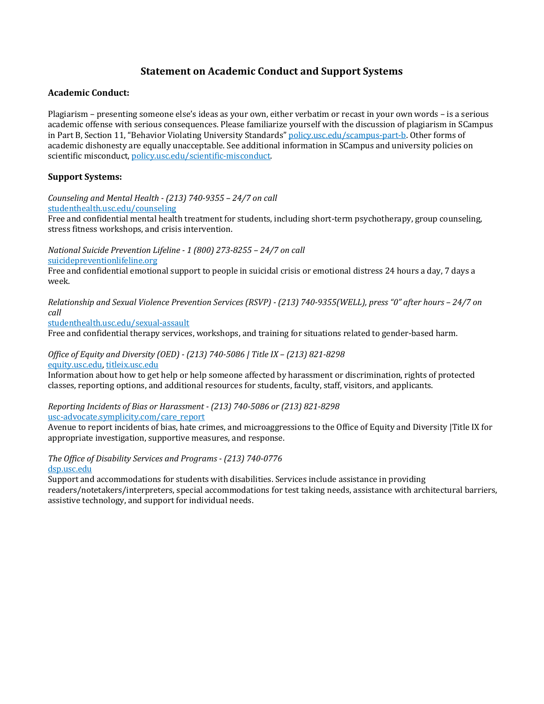## **Statement on Academic Conduct and Support Systems**

#### **Academic Conduct:**

Plagiarism – presenting someone else's ideas as your own, either verbatim or recast in your own words – is a serious academic offense with serious consequences. Please familiarize yourself with the discussion of plagiarism in SCampus in Part B, Section 11, "Behavior Violating University Standards" policy.usc.edu/scampus-part-b. Other forms of academic dishonesty are equally unacceptable. See additional information in SCampus and university policies on scientific misconduct, policy.usc.edu/scientific-misconduct.

### **Support Systems:**

*Counseling and Mental Health - (213) 740-9355 – 24/7 on call* studenthealth.usc.edu/counseling

Free and confidential mental health treatment for students, including short-term psychotherapy, group counseling, stress fitness workshops, and crisis intervention.

*National Suicide Prevention Lifeline - 1 (800) 273-8255 – 24/7 on call* suicidepreventionlifeline.org

Free and confidential emotional support to people in suicidal crisis or emotional distress 24 hours a day, 7 days a week.

*Relationship and Sexual Violence Prevention Services (RSVP) - (213) 740-9355(WELL), press "0" after hours - 24/7 on call*

studenthealth.usc.edu/sexual-assault

Free and confidential therapy services, workshops, and training for situations related to gender-based harm.

#### *Office of Equity and Diversity (OED) - (213) 740-5086 | Title IX – (213) 821-8298* equity.usc.edu, titleix.usc.edu

Information about how to get help or help someone affected by harassment or discrimination, rights of protected classes, reporting options, and additional resources for students, faculty, staff, visitors, and applicants.

*Reporting Incidents of Bias or Harassment - (213) 740-5086 or (213) 821-8298* usc-advocate.symplicity.com/care\_report

Avenue to report incidents of bias, hate crimes, and microaggressions to the Office of Equity and Diversity |Title IX for appropriate investigation, supportive measures, and response.

*The Office of Disability Services and Programs - (213) 740-0776* dsp.usc.edu

Support and accommodations for students with disabilities. Services include assistance in providing readers/notetakers/interpreters, special accommodations for test taking needs, assistance with architectural barriers, assistive technology, and support for individual needs.